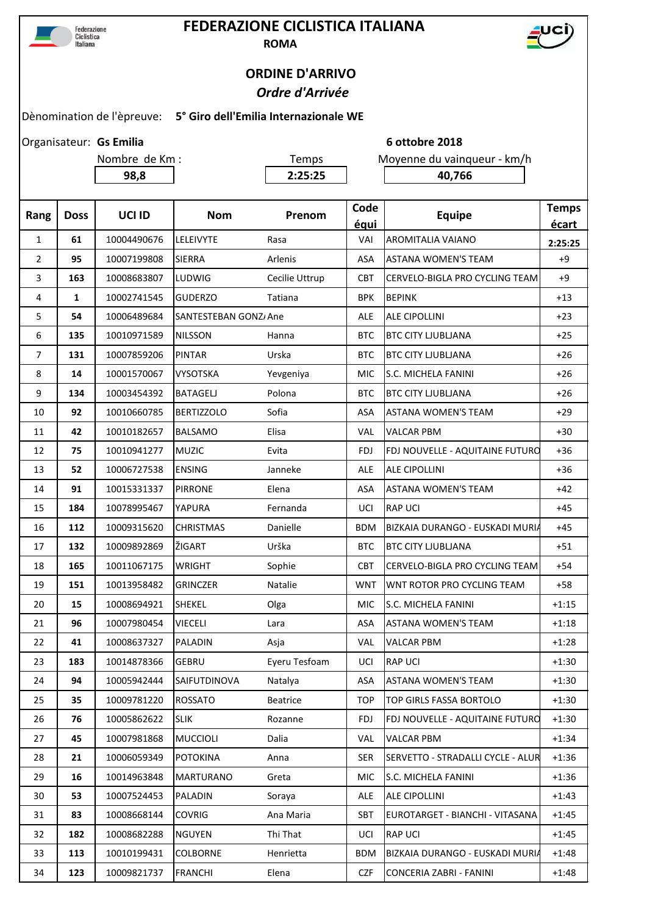

## **FEDERAZIONE CICLISTICA ITALIANA**



**ROMA**

## **ORDINE D'ARRIVO**

## *Ordre d'Arrivée*

Dènomination de l'èpreuve: **5° Giro dell'Emilia Internazionale WE**

|                |             | Organisateur: Gs Emilia |                       | 6 ottobre 2018  |              |                                   |                       |  |
|----------------|-------------|-------------------------|-----------------------|-----------------|--------------|-----------------------------------|-----------------------|--|
|                |             | Nombre de Km :          |                       | Temps           |              | Moyenne du vainqueur - km/h       |                       |  |
|                |             | 98,8                    |                       | 2:25:25         |              | 40,766                            |                       |  |
|                |             |                         |                       |                 |              |                                   |                       |  |
| Rang           | <b>Doss</b> | UCI ID                  | <b>Nom</b>            | Prenom          | Code<br>équi | <b>Equipe</b>                     | <b>Temps</b><br>écart |  |
| $\mathbf{1}$   | 61          | 10004490676             | LELEIVYTE             | Rasa            | VAI          | <b>AROMITALIA VAIANO</b>          | 2:25:25               |  |
| $\overline{2}$ | 95          | 10007199808             | <b>SIERRA</b>         | Arlenis         | <b>ASA</b>   | <b>ASTANA WOMEN'S TEAM</b>        | $+9$                  |  |
| 3              | 163         | 10008683807             | LUDWIG                | Cecilie Uttrup  | <b>CBT</b>   | CERVELO-BIGLA PRO CYCLING TEAM    | $+9$                  |  |
| 4              | 1           | 10002741545             | <b>GUDERZO</b>        | Tatiana         | <b>BPK</b>   | <b>BEPINK</b>                     | $+13$                 |  |
| 5              | 54          | 10006489684             | SANTESTEBAN GONZ/ Ane |                 | <b>ALE</b>   | <b>ALE CIPOLLINI</b>              | $+23$                 |  |
| 6              | 135         | 10010971589             | <b>NILSSON</b>        | Hanna           | <b>BTC</b>   | <b>BTC CITY LJUBLJANA</b>         | $+25$                 |  |
| 7              | 131         | 10007859206             | <b>PINTAR</b>         | Urska           | <b>BTC</b>   | <b>BTC CITY LIUBLIANA</b>         | $+26$                 |  |
| 8              | 14          | 10001570067             | <b>VYSOTSKA</b>       | Yevgeniya       | <b>MIC</b>   | <b>S.C. MICHELA FANINI</b>        | $+26$                 |  |
| 9              | 134         | 10003454392             | <b>BATAGELJ</b>       | Polona          | <b>BTC</b>   | <b>BTC CITY LJUBLJANA</b>         | $+26$                 |  |
| 10             | 92          | 10010660785             | <b>BERTIZZOLO</b>     | Sofia           | ASA          | <b>ASTANA WOMEN'S TEAM</b>        | $+29$                 |  |
| 11             | 42          | 10010182657             | <b>BALSAMO</b>        | Elisa           | VAL          | <b>VALCAR PBM</b>                 | $+30$                 |  |
| 12             | 75          | 10010941277             | <b>MUZIC</b>          | Evita           | <b>FDJ</b>   | FDJ NOUVELLE - AQUITAINE FUTURO   | $+36$                 |  |
| 13             | 52          | 10006727538             | <b>ENSING</b>         | Janneke         | <b>ALE</b>   | <b>ALE CIPOLLINI</b>              | $+36$                 |  |
| 14             | 91          | 10015331337             | <b>PIRRONE</b>        | Elena           | ASA          | <b>ASTANA WOMEN'S TEAM</b>        | $+42$                 |  |
| 15             | 184         | 10078995467             | YAPURA                | Fernanda        | UCI          | <b>RAP UCI</b>                    | $+45$                 |  |
| 16             | 112         | 10009315620             | <b>CHRISTMAS</b>      | Danielle        | <b>BDM</b>   | BIZKAIA DURANGO - EUSKADI MURIA   | $+45$                 |  |
| 17             | 132         | 10009892869             | ŽIGART                | Urška           | <b>BTC</b>   | <b>BTC CITY LIUBLIANA</b>         | $+51$                 |  |
| 18             | 165         | 10011067175             | <b>WRIGHT</b>         | Sophie          | <b>CBT</b>   | CERVELO-BIGLA PRO CYCLING TEAM    | $+54$                 |  |
| 19             | 151         | 10013958482             | <b>GRINCZER</b>       | Natalie         | <b>WNT</b>   | <b>WNT ROTOR PRO CYCLING TEAM</b> | $+58$                 |  |
| 20             | 15          | 10008694921             | <b>SHEKEL</b>         | Olga            | <b>MIC</b>   | <b>S.C. MICHELA FANINI</b>        | $+1:15$               |  |
| 21             | 96          | 10007980454             | <b>VIECELI</b>        | Lara            | ASA          | <b>ASTANA WOMEN'S TEAM</b>        | $+1:18$               |  |
| 22             | 41          | 10008637327             | PALADIN               | Asja            | VAL          | <b>VALCAR PBM</b>                 | $+1:28$               |  |
| 23             | 183         | 10014878366             | GEBRU                 | Eyeru Tesfoam   | UCI          | <b>RAP UCI</b>                    | $+1:30$               |  |
| 24             | 94          | 10005942444             | SAIFUTDINOVA          | Natalya         | ASA          | <b>ASTANA WOMEN'S TEAM</b>        | $+1:30$               |  |
| 25             | 35          | 10009781220             | <b>ROSSATO</b>        | <b>Beatrice</b> | <b>TOP</b>   | TOP GIRLS FASSA BORTOLO           | $+1:30$               |  |
| 26             | 76          | 10005862622             | <b>SLIK</b>           | Rozanne         | <b>FDJ</b>   | FDJ NOUVELLE - AQUITAINE FUTURO   | $+1:30$               |  |
| 27             | 45          | 10007981868             | <b>MUCCIOLI</b>       | Dalia           | VAL          | <b>VALCAR PBM</b>                 | $+1:34$               |  |
| 28             | 21          | 10006059349             | <b>POTOKINA</b>       | Anna            | <b>SER</b>   | SERVETTO - STRADALLI CYCLE - ALUR | $+1:36$               |  |
| 29             | 16          | 10014963848             | <b>MARTURANO</b>      | Greta           | <b>MIC</b>   | S.C. MICHELA FANINI               | $+1:36$               |  |
| 30             | 53          | 10007524453             | PALADIN               | Soraya          | ALE          | <b>ALE CIPOLLINI</b>              | $+1:43$               |  |
| 31             | 83          | 10008668144             | <b>COVRIG</b>         | Ana Maria       | <b>SBT</b>   | EUROTARGET - BIANCHI - VITASANA   | $+1:45$               |  |
| 32             | 182         | 10008682288             | <b>NGUYEN</b>         | Thi That        | UCI          | <b>RAP UCI</b>                    | $+1:45$               |  |
| 33             | 113         | 10010199431             | <b>COLBORNE</b>       | Henrietta       | <b>BDM</b>   | BIZKAIA DURANGO - EUSKADI MURIA   | $+1:48$               |  |
| 34             | 123         | 10009821737             | <b>FRANCHI</b>        | Elena           | <b>CZF</b>   | CONCERIA ZABRI - FANINI           | $+1:48$               |  |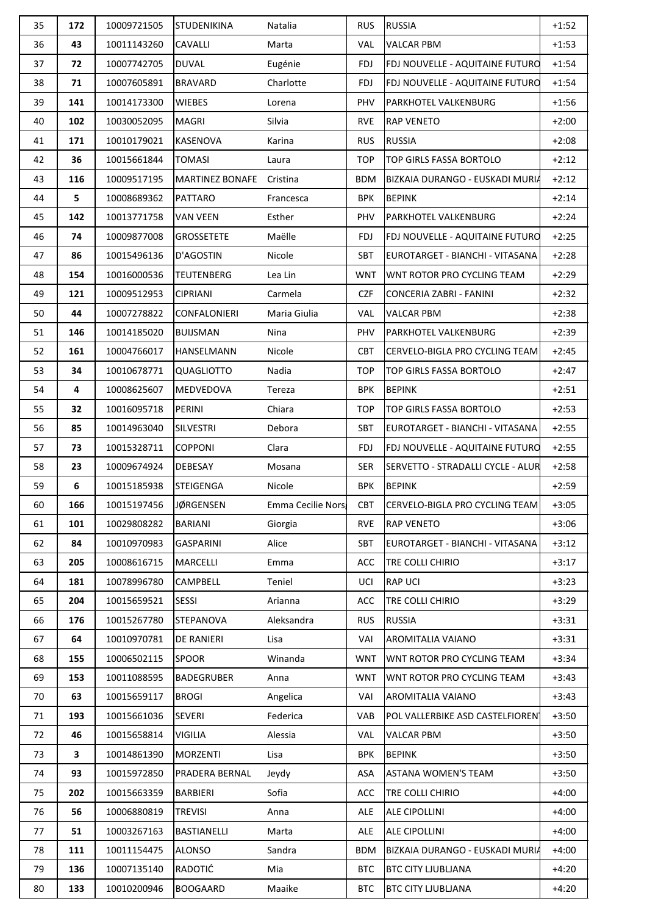| 35 | 172 | 10009721505 | <b>STUDENIKINA</b>     | Natalia           | <b>RUS</b> | <b>RUSSIA</b>                     | $+1:52$ |
|----|-----|-------------|------------------------|-------------------|------------|-----------------------------------|---------|
| 36 | 43  | 10011143260 | <b>CAVALLI</b>         | Marta             | <b>VAL</b> | <b>VALCAR PBM</b>                 | $+1:53$ |
| 37 | 72  | 10007742705 | <b>DUVAL</b>           | Eugénie           | <b>FDJ</b> | FDJ NOUVELLE - AQUITAINE FUTURO   | $+1:54$ |
| 38 | 71  | 10007605891 | <b>BRAVARD</b>         | Charlotte         | <b>FDJ</b> | FDJ NOUVELLE - AQUITAINE FUTURO   | $+1:54$ |
| 39 | 141 | 10014173300 | <b>WIEBES</b>          | Lorena            | <b>PHV</b> | <b>PARKHOTEL VALKENBURG</b>       | $+1:56$ |
| 40 | 102 | 10030052095 | <b>MAGRI</b>           | Silvia            | <b>RVE</b> | <b>RAP VENETO</b>                 | $+2:00$ |
| 41 | 171 | 10010179021 | KASENOVA               | Karina            | <b>RUS</b> | <b>RUSSIA</b>                     | $+2:08$ |
| 42 | 36  | 10015661844 | <b>TOMASI</b>          | Laura             | <b>TOP</b> | TOP GIRLS FASSA BORTOLO           | $+2:12$ |
| 43 | 116 | 10009517195 | <b>MARTINEZ BONAFE</b> | Cristina          | <b>BDM</b> | BIZKAIA DURANGO - EUSKADI MURIA   | $+2:12$ |
| 44 | 5   | 10008689362 | <b>PATTARO</b>         | Francesca         | <b>BPK</b> | <b>BEPINK</b>                     | $+2:14$ |
| 45 | 142 | 10013771758 | <b>VAN VEEN</b>        | Esther            | PHV        | PARKHOTEL VALKENBURG              | $+2:24$ |
| 46 | 74  | 10009877008 | <b>GROSSETETE</b>      | Maëlle            | <b>FDJ</b> | FDJ NOUVELLE - AQUITAINE FUTURO   | $+2:25$ |
| 47 | 86  | 10015496136 | D'AGOSTIN              | Nicole            | <b>SBT</b> | EUROTARGET - BIANCHI - VITASANA   | $+2:28$ |
| 48 | 154 | 10016000536 | <b>TEUTENBERG</b>      | Lea Lin           | <b>WNT</b> | WNT ROTOR PRO CYCLING TEAM        | $+2:29$ |
| 49 | 121 | 10009512953 | <b>CIPRIANI</b>        | Carmela           | <b>CZF</b> | CONCERIA ZABRI - FANINI           | $+2:32$ |
| 50 | 44  | 10007278822 | <b>CONFALONIERI</b>    | Maria Giulia      | <b>VAL</b> | <b>VALCAR PBM</b>                 | $+2:38$ |
| 51 | 146 | 10014185020 | <b>BUIJSMAN</b>        | Nina              | PHV        | <b>PARKHOTEL VALKENBURG</b>       | $+2:39$ |
| 52 | 161 | 10004766017 | <b>HANSELMANN</b>      | Nicole            | <b>CBT</b> | CERVELO-BIGLA PRO CYCLING TEAM    | $+2:45$ |
| 53 | 34  | 10010678771 | QUAGLIOTTO             | Nadia             | <b>TOP</b> | TOP GIRLS FASSA BORTOLO           | $+2:47$ |
| 54 | 4   | 10008625607 | <b>MEDVEDOVA</b>       | Tereza            | <b>BPK</b> | <b>BEPINK</b>                     | $+2:51$ |
| 55 | 32  | 10016095718 | PERINI                 | Chiara            | <b>TOP</b> | TOP GIRLS FASSA BORTOLO           | $+2:53$ |
| 56 | 85  | 10014963040 | <b>SILVESTRI</b>       | Debora            | <b>SBT</b> | EUROTARGET - BIANCHI - VITASANA   | $+2:55$ |
| 57 | 73  | 10015328711 | <b>COPPONI</b>         | Clara             | <b>FDJ</b> | FDJ NOUVELLE - AQUITAINE FUTURO   | $+2:55$ |
| 58 | 23  | 10009674924 | <b>DEBESAY</b>         | Mosana            | <b>SER</b> | SERVETTO - STRADALLI CYCLE - ALUR | $+2:58$ |
| 59 | 6   | 10015185938 | <b>STEIGENGA</b>       | Nicole            | <b>BPK</b> | <b>BEPINK</b>                     | $+2:59$ |
| 60 | 166 | 10015197456 | <b>JØRGENSEN</b>       | Emma Cecilie Nors | <b>CBT</b> | CERVELO-BIGLA PRO CYCLING TEAM    | $+3:05$ |
| 61 | 101 | 10029808282 | <b>BARIANI</b>         | Giorgia           | <b>RVE</b> | <b>RAP VENETO</b>                 | $+3:06$ |
| 62 | 84  | 10010970983 | <b>GASPARINI</b>       | Alice             | <b>SBT</b> | EUROTARGET - BIANCHI - VITASANA   | $+3:12$ |
| 63 | 205 | 10008616715 | <b>MARCELLI</b>        | Emma              | ACC        | TRE COLLI CHIRIO                  | $+3:17$ |
| 64 | 181 | 10078996780 | <b>CAMPBELL</b>        | Teniel            | UCI        | <b>RAP UCI</b>                    | $+3:23$ |
| 65 | 204 | 10015659521 | <b>SESSI</b>           | Arianna           | ACC        | TRE COLLI CHIRIO                  | $+3:29$ |
| 66 | 176 | 10015267780 | <b>STEPANOVA</b>       | Aleksandra        | <b>RUS</b> | <b>RUSSIA</b>                     | $+3:31$ |
| 67 | 64  | 10010970781 | <b>DE RANIERI</b>      | Lisa              | VAI        | <b>AROMITALIA VAIANO</b>          | $+3:31$ |
| 68 | 155 | 10006502115 | <b>SPOOR</b>           | Winanda           | <b>WNT</b> | WNT ROTOR PRO CYCLING TEAM        | $+3:34$ |
| 69 | 153 | 10011088595 | <b>BADEGRUBER</b>      | Anna              | <b>WNT</b> | WNT ROTOR PRO CYCLING TEAM        | $+3:43$ |
| 70 | 63  | 10015659117 | <b>BROGI</b>           | Angelica          | VAI        | <b>AROMITALIA VAIANO</b>          | $+3:43$ |
| 71 | 193 | 10015661036 | <b>SEVERI</b>          | Federica          | <b>VAB</b> | POL VALLERBIKE ASD CASTELFIOREN   | $+3:50$ |
| 72 | 46  | 10015658814 | <b>VIGILIA</b>         | Alessia           | VAL        | <b>VALCAR PBM</b>                 | $+3:50$ |
| 73 | 3   | 10014861390 | <b>MORZENTI</b>        | Lisa              | <b>BPK</b> | <b>BEPINK</b>                     | $+3:50$ |
| 74 | 93  | 10015972850 | PRADERA BERNAL         | Jeydy             | ASA        | <b>ASTANA WOMEN'S TEAM</b>        | $+3:50$ |
| 75 | 202 | 10015663359 | <b>BARBIERI</b>        | Sofia             | ACC        | TRE COLLI CHIRIO                  | $+4:00$ |
| 76 | 56  | 10006880819 | <b>TREVISI</b>         | Anna              | ALE        | <b>ALE CIPOLLINI</b>              | $+4:00$ |
| 77 | 51  | 10003267163 | <b>BASTIANELLI</b>     | Marta             | ALE        | <b>ALE CIPOLLINI</b>              | $+4:00$ |
| 78 | 111 | 10011154475 | <b>ALONSO</b>          | Sandra            | <b>BDM</b> | BIZKAIA DURANGO - EUSKADI MURIA   | $+4:00$ |
| 79 | 136 | 10007135140 | RADOTIĆ                | Mia               | <b>BTC</b> | <b>BTC CITY LJUBLJANA</b>         | $+4:20$ |
| 80 | 133 | 10010200946 | <b>BOOGAARD</b>        | Maaike            | <b>BTC</b> | <b>BTC CITY LJUBLJANA</b>         | $+4:20$ |